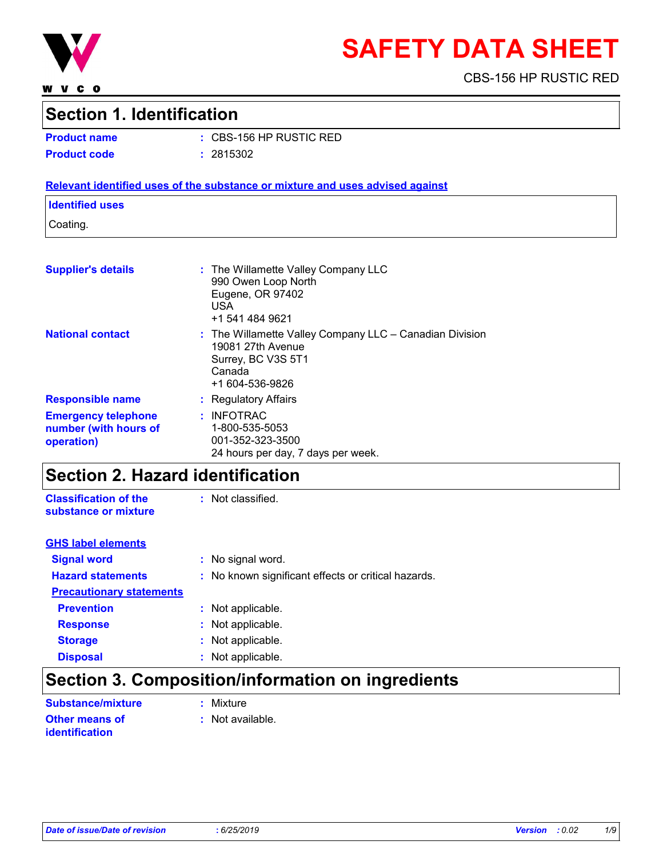

**WVCO** 

# **SAFETY DATA SHEET**

CBS-156 HP RUSTIC RED

# **Section 1. Identification**

**Product name :** CBS-156 HP RUSTIC RED **Product code :** 2815302

### **Relevant identified uses of the substance or mixture and uses advised against**

### **Identified uses**

Coating.

| <b>Supplier's details</b>                                         | : The Willamette Valley Company LLC<br>990 Owen Loop North<br>Eugene, OR 97402<br><b>USA</b><br>+1 541 484 9621                     |
|-------------------------------------------------------------------|-------------------------------------------------------------------------------------------------------------------------------------|
| <b>National contact</b>                                           | $:$ The Willamette Valley Company LLC $-$ Canadian Division<br>19081 27th Avenue<br>Surrey, BC V3S 5T1<br>Canada<br>+1 604-536-9826 |
| <b>Responsible name</b>                                           | : Regulatory Affairs                                                                                                                |
| <b>Emergency telephone</b><br>number (with hours of<br>operation) | : INFOTRAC<br>1-800-535-5053<br>001-352-323-3500<br>24 hours per day, 7 days per week.                                              |

# **Section 2. Hazard identification**

**Classification of the substance or mixture** : Not classified.

| <b>GHS label elements</b>       |                                                     |
|---------------------------------|-----------------------------------------------------|
| <b>Signal word</b>              | : No signal word.                                   |
| <b>Hazard statements</b>        | : No known significant effects or critical hazards. |
| <b>Precautionary statements</b> |                                                     |
| <b>Prevention</b>               | : Not applicable.                                   |
| <b>Response</b>                 | : Not applicable.                                   |
| <b>Storage</b>                  | : Not applicable.                                   |
| <b>Disposal</b>                 | : Not applicable.                                   |

# **Section 3. Composition/information on ingredients**

| <b>Substance/mixture</b>                       | : Mixture        |
|------------------------------------------------|------------------|
| <b>Other means of</b><br><b>identification</b> | : Not available. |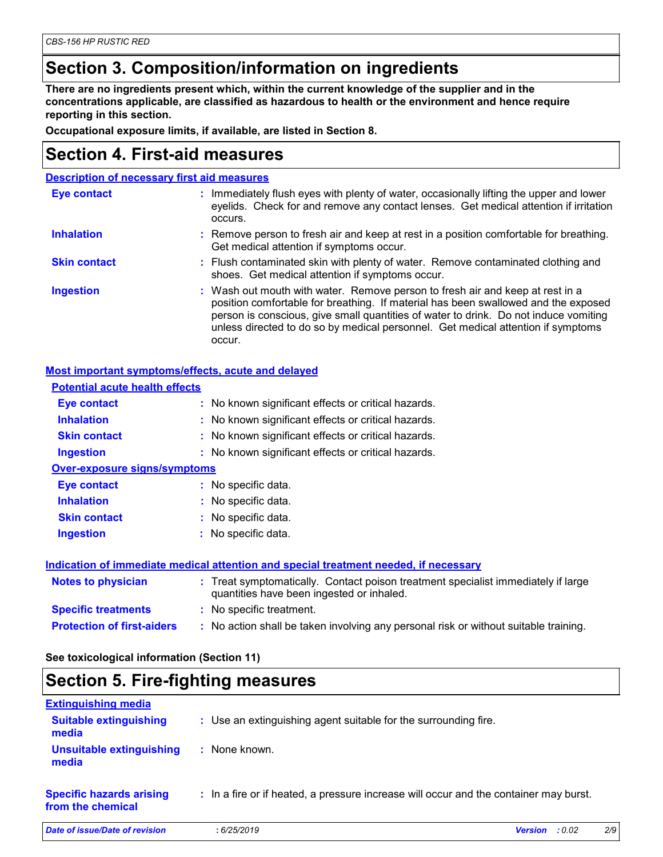# **Section 3. Composition/information on ingredients**

**There are no ingredients present which, within the current knowledge of the supplier and in the concentrations applicable, are classified as hazardous to health or the environment and hence require reporting in this section.**

**Occupational exposure limits, if available, are listed in Section 8.**

### **Section 4. First-aid measures**

| <b>Description of necessary first aid measures</b> |                                                                                                                                                                                                                                                                                                                                                           |  |
|----------------------------------------------------|-----------------------------------------------------------------------------------------------------------------------------------------------------------------------------------------------------------------------------------------------------------------------------------------------------------------------------------------------------------|--|
| <b>Eye contact</b>                                 | : Immediately flush eyes with plenty of water, occasionally lifting the upper and lower<br>eyelids. Check for and remove any contact lenses. Get medical attention if irritation<br>occurs.                                                                                                                                                               |  |
| <b>Inhalation</b>                                  | : Remove person to fresh air and keep at rest in a position comfortable for breathing.<br>Get medical attention if symptoms occur.                                                                                                                                                                                                                        |  |
| <b>Skin contact</b>                                | : Flush contaminated skin with plenty of water. Remove contaminated clothing and<br>shoes. Get medical attention if symptoms occur.                                                                                                                                                                                                                       |  |
| <b>Ingestion</b>                                   | : Wash out mouth with water. Remove person to fresh air and keep at rest in a<br>position comfortable for breathing. If material has been swallowed and the exposed<br>person is conscious, give small quantities of water to drink. Do not induce vomiting<br>unless directed to do so by medical personnel. Get medical attention if symptoms<br>occur. |  |

### **Most important symptoms/effects, acute and delayed**

| <b>Potential acute health effects</b> |                                                                                                                                |
|---------------------------------------|--------------------------------------------------------------------------------------------------------------------------------|
| Eye contact                           | : No known significant effects or critical hazards.                                                                            |
| <b>Inhalation</b>                     | : No known significant effects or critical hazards.                                                                            |
| <b>Skin contact</b>                   | : No known significant effects or critical hazards.                                                                            |
| <b>Ingestion</b>                      | : No known significant effects or critical hazards.                                                                            |
| <b>Over-exposure signs/symptoms</b>   |                                                                                                                                |
| Eye contact                           | : No specific data.                                                                                                            |
| <b>Inhalation</b>                     | : No specific data.                                                                                                            |
| <b>Skin contact</b>                   | : No specific data.                                                                                                            |
| <b>Ingestion</b>                      | : No specific data.                                                                                                            |
|                                       | Indication of immediate medical attention and special treatment needed, if necessary                                           |
| <b>Notes to physician</b>             | : Treat symptomatically. Contact poison treatment specialist immediately if large<br>quantities have been ingested or inhaled. |
| <b>Specific treatments</b>            | : No specific treatment.                                                                                                       |
| <b>Protection of first-aiders</b>     | : No action shall be taken involving any personal risk or without suitable training.                                           |

**See toxicological information (Section 11)**

### **Section 5. Fire-fighting measures**

| <b>Extinguishing media</b>                           |                                                                                       |                                 |
|------------------------------------------------------|---------------------------------------------------------------------------------------|---------------------------------|
| <b>Suitable extinguishing</b><br>media               | : Use an extinguishing agent suitable for the surrounding fire.                       |                                 |
| Unsuitable extinguishing<br>media                    | None known.                                                                           |                                 |
| <b>Specific hazards arising</b><br>from the chemical | : In a fire or if heated, a pressure increase will occur and the container may burst. |                                 |
| Date of issue/Date of revision                       | : 6/25/2019                                                                           | 2/9<br><b>Version</b><br>: 0.02 |
|                                                      |                                                                                       |                                 |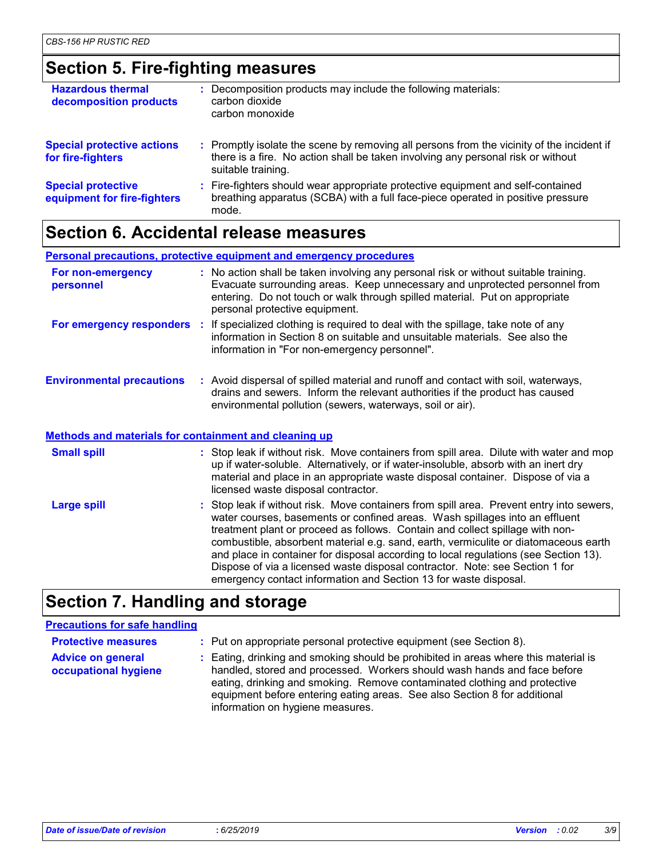# **Section 5. Fire-fighting measures**

| <b>Hazardous thermal</b><br>decomposition products       | : Decomposition products may include the following materials:<br>carbon dioxide<br>carbon monoxide                                                                                                  |
|----------------------------------------------------------|-----------------------------------------------------------------------------------------------------------------------------------------------------------------------------------------------------|
| <b>Special protective actions</b><br>for fire-fighters   | : Promptly isolate the scene by removing all persons from the vicinity of the incident if<br>there is a fire. No action shall be taken involving any personal risk or without<br>suitable training. |
| <b>Special protective</b><br>equipment for fire-fighters | : Fire-fighters should wear appropriate protective equipment and self-contained<br>breathing apparatus (SCBA) with a full face-piece operated in positive pressure<br>mode.                         |

### **Section 6. Accidental release measures**

**Personal precautions, protective equipment and emergency procedures**

| For non-emergency<br>personnel                               | : No action shall be taken involving any personal risk or without suitable training.<br>Evacuate surrounding areas. Keep unnecessary and unprotected personnel from<br>entering. Do not touch or walk through spilled material. Put on appropriate<br>personal protective equipment. |
|--------------------------------------------------------------|--------------------------------------------------------------------------------------------------------------------------------------------------------------------------------------------------------------------------------------------------------------------------------------|
|                                                              | For emergency responders : If specialized clothing is required to deal with the spillage, take note of any<br>information in Section 8 on suitable and unsuitable materials. See also the<br>information in "For non-emergency personnel".                                           |
| <b>Environmental precautions</b>                             | : Avoid dispersal of spilled material and runoff and contact with soil, waterways,<br>drains and sewers. Inform the relevant authorities if the product has caused<br>environmental pollution (sewers, waterways, soil or air).                                                      |
| <b>Methods and materials for containment and cleaning up</b> |                                                                                                                                                                                                                                                                                      |
| <b>Small spill</b>                                           | : Stop leak if without risk. Move containers from spill area. Dilute with water and mop                                                                                                                                                                                              |

up if water-soluble. Alternatively, or if water-insoluble, absorb with an inert dry material and place in an appropriate waste disposal container. Dispose of via a licensed waste disposal contractor.

Stop leak if without risk. Move containers from spill area. Prevent entry into sewers, water courses, basements or confined areas. Wash spillages into an effluent treatment plant or proceed as follows. Contain and collect spillage with noncombustible, absorbent material e.g. sand, earth, vermiculite or diatomaceous earth and place in container for disposal according to local regulations (see Section 13). Dispose of via a licensed waste disposal contractor. Note: see Section 1 for emergency contact information and Section 13 for waste disposal. **Large spill :**

# **Section 7. Handling and storage**

### **Precautions for safe handling**

**Protective measures : Put on appropriate personal protective equipment (see Section 8).** 

**Advice on general occupational hygiene** Eating, drinking and smoking should be prohibited in areas where this material is **:** handled, stored and processed. Workers should wash hands and face before eating, drinking and smoking. Remove contaminated clothing and protective equipment before entering eating areas. See also Section 8 for additional information on hygiene measures.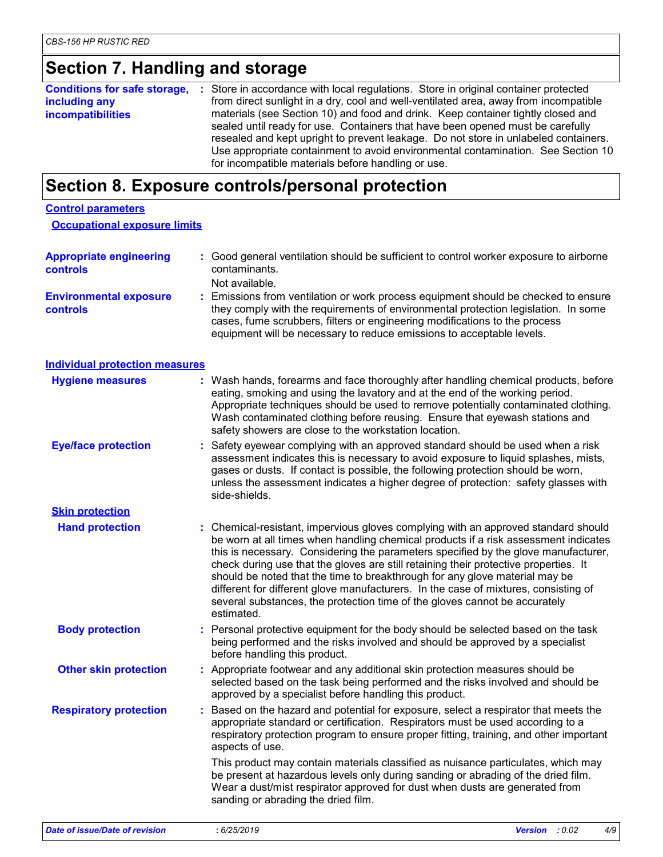# **Section 7. Handling and storage**

| including any<br><b>incompatibilities</b> | <b>Conditions for safe storage, :</b> Store in accordance with local regulations. Store in original container protected<br>from direct sunlight in a dry, cool and well-ventilated area, away from incompatible<br>materials (see Section 10) and food and drink. Keep container tightly closed and<br>sealed until ready for use. Containers that have been opened must be carefully<br>resealed and kept upright to prevent leakage. Do not store in unlabeled containers.<br>Use appropriate containment to avoid environmental contamination. See Section 10<br>for incompatible materials before handling or use. |
|-------------------------------------------|------------------------------------------------------------------------------------------------------------------------------------------------------------------------------------------------------------------------------------------------------------------------------------------------------------------------------------------------------------------------------------------------------------------------------------------------------------------------------------------------------------------------------------------------------------------------------------------------------------------------|
|-------------------------------------------|------------------------------------------------------------------------------------------------------------------------------------------------------------------------------------------------------------------------------------------------------------------------------------------------------------------------------------------------------------------------------------------------------------------------------------------------------------------------------------------------------------------------------------------------------------------------------------------------------------------------|

# **Section 8. Exposure controls/personal protection**

| <b>Control parameters</b>                        |                                                                                                                                                                                                                                                                                                                                                                                                                                                                                                                                                                                                                           |  |
|--------------------------------------------------|---------------------------------------------------------------------------------------------------------------------------------------------------------------------------------------------------------------------------------------------------------------------------------------------------------------------------------------------------------------------------------------------------------------------------------------------------------------------------------------------------------------------------------------------------------------------------------------------------------------------------|--|
| <b>Occupational exposure limits</b>              |                                                                                                                                                                                                                                                                                                                                                                                                                                                                                                                                                                                                                           |  |
| <b>Appropriate engineering</b><br>controls       | : Good general ventilation should be sufficient to control worker exposure to airborne<br>contaminants.<br>Not available.                                                                                                                                                                                                                                                                                                                                                                                                                                                                                                 |  |
| <b>Environmental exposure</b><br><b>controls</b> | : Emissions from ventilation or work process equipment should be checked to ensure<br>they comply with the requirements of environmental protection legislation. In some<br>cases, fume scrubbers, filters or engineering modifications to the process<br>equipment will be necessary to reduce emissions to acceptable levels.                                                                                                                                                                                                                                                                                           |  |
| <b>Individual protection measures</b>            |                                                                                                                                                                                                                                                                                                                                                                                                                                                                                                                                                                                                                           |  |
| <b>Hygiene measures</b>                          | : Wash hands, forearms and face thoroughly after handling chemical products, before<br>eating, smoking and using the lavatory and at the end of the working period.<br>Appropriate techniques should be used to remove potentially contaminated clothing.<br>Wash contaminated clothing before reusing. Ensure that eyewash stations and<br>safety showers are close to the workstation location.                                                                                                                                                                                                                         |  |
| <b>Eye/face protection</b>                       | : Safety eyewear complying with an approved standard should be used when a risk<br>assessment indicates this is necessary to avoid exposure to liquid splashes, mists,<br>gases or dusts. If contact is possible, the following protection should be worn,<br>unless the assessment indicates a higher degree of protection: safety glasses with<br>side-shields.                                                                                                                                                                                                                                                         |  |
| <b>Skin protection</b>                           |                                                                                                                                                                                                                                                                                                                                                                                                                                                                                                                                                                                                                           |  |
| <b>Hand protection</b>                           | : Chemical-resistant, impervious gloves complying with an approved standard should<br>be worn at all times when handling chemical products if a risk assessment indicates<br>this is necessary. Considering the parameters specified by the glove manufacturer,<br>check during use that the gloves are still retaining their protective properties. It<br>should be noted that the time to breakthrough for any glove material may be<br>different for different glove manufacturers. In the case of mixtures, consisting of<br>several substances, the protection time of the gloves cannot be accurately<br>estimated. |  |
| <b>Body protection</b>                           | : Personal protective equipment for the body should be selected based on the task<br>being performed and the risks involved and should be approved by a specialist<br>before handling this product.                                                                                                                                                                                                                                                                                                                                                                                                                       |  |
| <b>Other skin protection</b>                     | : Appropriate footwear and any additional skin protection measures should be<br>selected based on the task being performed and the risks involved and should be<br>approved by a specialist before handling this product.                                                                                                                                                                                                                                                                                                                                                                                                 |  |
| <b>Respiratory protection</b>                    | Based on the hazard and potential for exposure, select a respirator that meets the<br>appropriate standard or certification. Respirators must be used according to a<br>respiratory protection program to ensure proper fitting, training, and other important<br>aspects of use.                                                                                                                                                                                                                                                                                                                                         |  |
|                                                  | This product may contain materials classified as nuisance particulates, which may<br>be present at hazardous levels only during sanding or abrading of the dried film.<br>Wear a dust/mist respirator approved for dust when dusts are generated from<br>sanding or abrading the dried film.                                                                                                                                                                                                                                                                                                                              |  |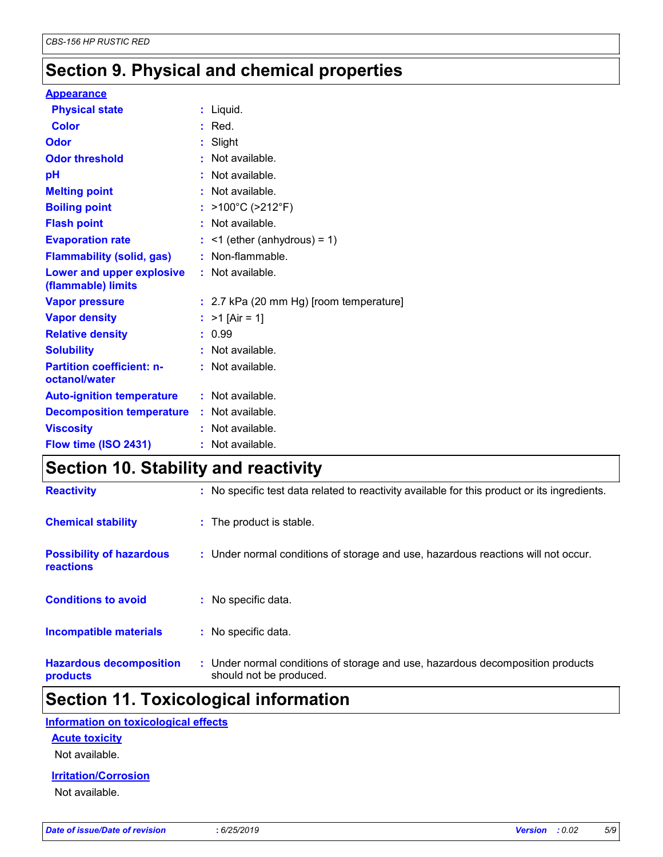# **Section 9. Physical and chemical properties**

#### **Appearance**

| <b>Physical state</b>                             | $:$ Liquid.                             |
|---------------------------------------------------|-----------------------------------------|
| <b>Color</b>                                      | $:$ Red.                                |
| Odor                                              | : Slight                                |
| <b>Odor threshold</b>                             | : Not available.                        |
| pH                                                | : Not available.                        |
| <b>Melting point</b>                              | : Not available.                        |
| <b>Boiling point</b>                              | : >100°C (>212°F)                       |
| <b>Flash point</b>                                | : Not available.                        |
| <b>Evaporation rate</b>                           | $:$ <1 (ether (anhydrous) = 1)          |
| <b>Flammability (solid, gas)</b>                  | : Non-flammable.                        |
| Lower and upper explosive<br>(flammable) limits   | : Not available.                        |
| <b>Vapor pressure</b>                             | : 2.7 kPa (20 mm Hg) [room temperature] |
| <b>Vapor density</b>                              | : $>1$ [Air = 1]                        |
| <b>Relative density</b>                           | : 0.99                                  |
| <b>Solubility</b>                                 | : Not available.                        |
| <b>Partition coefficient: n-</b><br>octanol/water | : Not available.                        |
| <b>Auto-ignition temperature</b>                  | : Not available.                        |
| <b>Decomposition temperature</b>                  | : Not available.                        |
| <b>Viscosity</b>                                  | : Not available.                        |
| Flow time (ISO 2431)                              | : Not available.                        |

# **Section 10. Stability and reactivity**

| <b>Reactivity</b>                                   | : No specific test data related to reactivity available for this product or its ingredients.              |
|-----------------------------------------------------|-----------------------------------------------------------------------------------------------------------|
| <b>Chemical stability</b>                           | : The product is stable.                                                                                  |
| <b>Possibility of hazardous</b><br><b>reactions</b> | : Under normal conditions of storage and use, hazardous reactions will not occur.                         |
| <b>Conditions to avoid</b>                          | : No specific data.                                                                                       |
| <b>Incompatible materials</b>                       | : No specific data.                                                                                       |
| <b>Hazardous decomposition</b><br>products          | : Under normal conditions of storage and use, hazardous decomposition products<br>should not be produced. |

# **Section 11. Toxicological information**

### **Information on toxicological effects**

### **Acute toxicity**

Not available.

#### **Irritation/Corrosion**

Not available.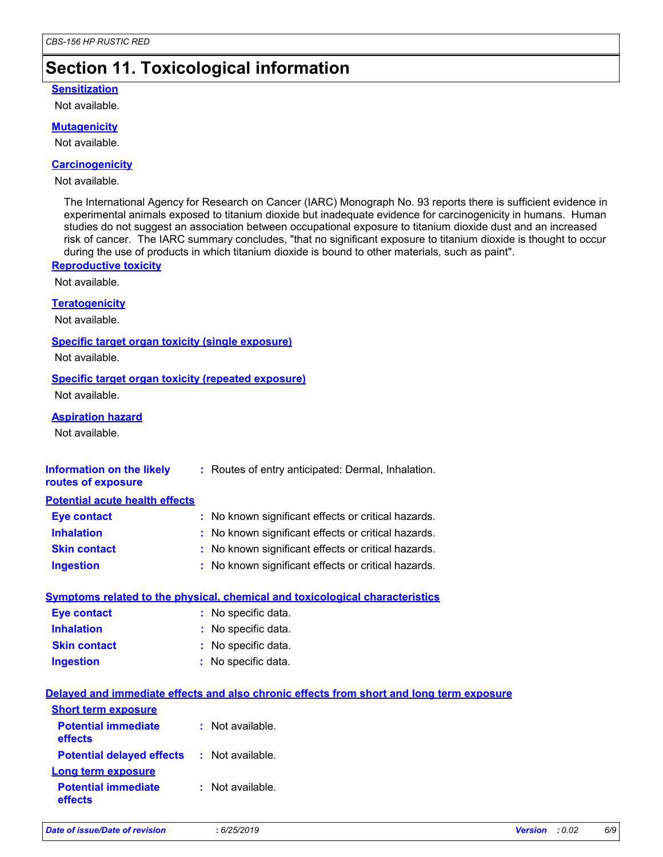# **Section 11. Toxicological information**

### **Sensitization**

Not available.

#### **Mutagenicity**

Not available.

#### **Carcinogenicity**

#### Not available.

The International Agency for Research on Cancer (IARC) Monograph No. 93 reports there is sufficient evidence in experimental animals exposed to titanium dioxide but inadequate evidence for carcinogenicity in humans. Human studies do not suggest an association between occupational exposure to titanium dioxide dust and an increased risk of cancer. The IARC summary concludes, "that no significant exposure to titanium dioxide is thought to occur during the use of products in which titanium dioxide is bound to other materials, such as paint".

### **Reproductive toxicity**

Not available.

#### **Teratogenicity**

Not available.

#### **Specific target organ toxicity (single exposure)**

Not available.

#### **Specific target organ toxicity (repeated exposure)**

Not available.

### **Aspiration hazard**

Not available.

| Information on the likely | : Routes of entry anticipated: Dermal, Inhalation. |
|---------------------------|----------------------------------------------------|
| routes of exposure        |                                                    |

#### **Potential acute health effects**

| <b>Eye contact</b>  | : No known significant effects or critical hazards. |
|---------------------|-----------------------------------------------------|
| <b>Inhalation</b>   | : No known significant effects or critical hazards. |
| <b>Skin contact</b> | : No known significant effects or critical hazards. |
| <b>Ingestion</b>    | : No known significant effects or critical hazards. |

#### **Symptoms related to the physical, chemical and toxicological characteristics**

| <b>Eye contact</b>  | : No specific data. |
|---------------------|---------------------|
| <b>Inhalation</b>   | : No specific data. |
| <b>Skin contact</b> | : No specific data. |
| <b>Ingestion</b>    | : No specific data. |

#### **Delayed and immediate effects and also chronic effects from short and long term exposure Potential immediate effects :** Not available. **Short term exposure**

| <b>Potential delayed effects</b>      | : Not available.            |
|---------------------------------------|-----------------------------|
| <b>Long term exposure</b>             |                             |
| <b>Potential immediate</b><br>effects | $\therefore$ Not available. |

| Date of issue/Date of revision | 6/25/2019 | <b>Version</b> : 0.02 | 6/9 |
|--------------------------------|-----------|-----------------------|-----|
|                                |           |                       |     |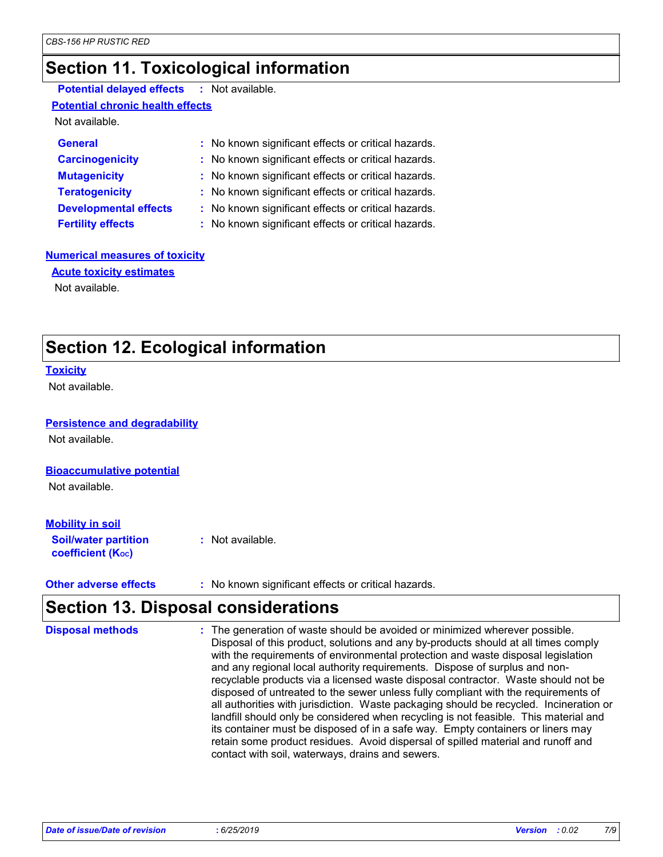# **Section 11. Toxicological information**

### **Potential delayed effects :** Not available.

### **Potential chronic health effects**

Not available.

| <b>General</b>               | : No known significant effects or critical hazards. |
|------------------------------|-----------------------------------------------------|
| <b>Carcinogenicity</b>       | : No known significant effects or critical hazards. |
| <b>Mutagenicity</b>          | : No known significant effects or critical hazards. |
| <b>Teratogenicity</b>        | : No known significant effects or critical hazards. |
| <b>Developmental effects</b> | : No known significant effects or critical hazards. |
| <b>Fertility effects</b>     | : No known significant effects or critical hazards. |

### **Numerical measures of toxicity**

Not available. **Acute toxicity estimates**

# **Section 12. Ecological information**

#### **Toxicity**

Not available.

#### **Persistence and degradability**

Not available.

#### **Bioaccumulative potential**

Not available.

### **Mobility in soil**

**Soil/water partition coefficient (Koc) :** Not available.

**Other adverse effects** : No known significant effects or critical hazards.

# **Section 13. Disposal considerations**

| <b>Disposal methods</b> | : The generation of waste should be avoided or minimized wherever possible.<br>Disposal of this product, solutions and any by-products should at all times comply<br>with the requirements of environmental protection and waste disposal legislation<br>and any regional local authority requirements. Dispose of surplus and non-<br>recyclable products via a licensed waste disposal contractor. Waste should not be<br>disposed of untreated to the sewer unless fully compliant with the requirements of<br>all authorities with jurisdiction. Waste packaging should be recycled. Incineration or<br>landfill should only be considered when recycling is not feasible. This material and<br>its container must be disposed of in a safe way. Empty containers or liners may<br>retain some product residues. Avoid dispersal of spilled material and runoff and<br>contact with soil, waterways, drains and sewers. |
|-------------------------|-----------------------------------------------------------------------------------------------------------------------------------------------------------------------------------------------------------------------------------------------------------------------------------------------------------------------------------------------------------------------------------------------------------------------------------------------------------------------------------------------------------------------------------------------------------------------------------------------------------------------------------------------------------------------------------------------------------------------------------------------------------------------------------------------------------------------------------------------------------------------------------------------------------------------------|
|-------------------------|-----------------------------------------------------------------------------------------------------------------------------------------------------------------------------------------------------------------------------------------------------------------------------------------------------------------------------------------------------------------------------------------------------------------------------------------------------------------------------------------------------------------------------------------------------------------------------------------------------------------------------------------------------------------------------------------------------------------------------------------------------------------------------------------------------------------------------------------------------------------------------------------------------------------------------|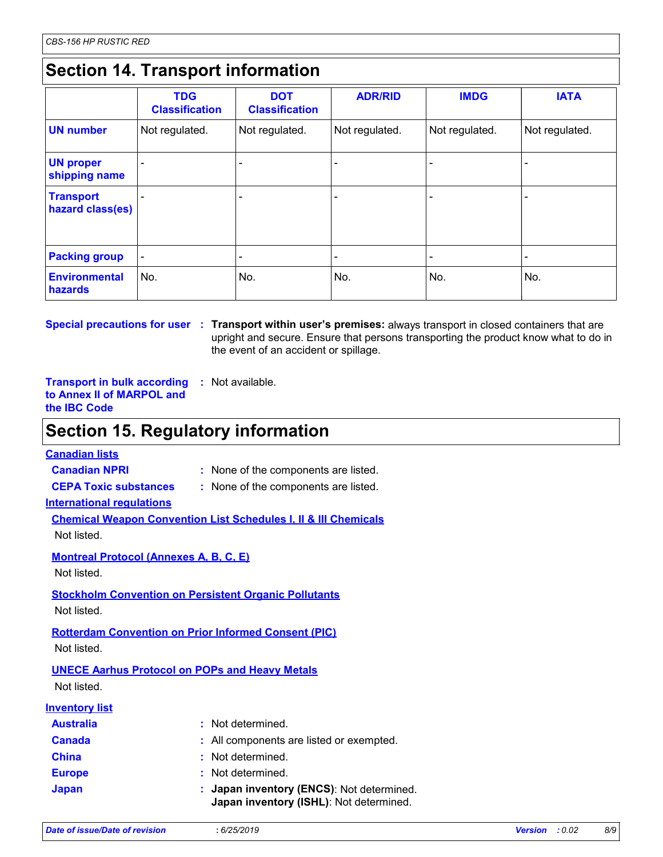# **Section 14. Transport information**

|                                      | <b>TDG</b><br><b>Classification</b> | <b>DOT</b><br><b>Classification</b> | <b>ADR/RID</b>           | <b>IMDG</b>    | <b>IATA</b>    |
|--------------------------------------|-------------------------------------|-------------------------------------|--------------------------|----------------|----------------|
| <b>UN number</b>                     | Not regulated.                      | Not regulated.                      | Not regulated.           | Not regulated. | Not regulated. |
| <b>UN proper</b><br>shipping name    |                                     | ۰                                   | $\overline{\phantom{a}}$ |                |                |
| <b>Transport</b><br>hazard class(es) |                                     | ٠                                   | $\overline{\phantom{0}}$ |                |                |
| <b>Packing group</b>                 |                                     | ۰                                   | $\overline{\phantom{0}}$ |                |                |
| <b>Environmental</b><br>hazards      | No.                                 | No.                                 | No.                      | No.            | No.            |

**Special precautions for user** : Transport within user's premises: always transport in closed containers that are upright and secure. Ensure that persons transporting the product know what to do in the event of an accident or spillage.

**Transport in bulk according :** Not available. **to Annex II of MARPOL and the IBC Code**

### **Section 15. Regulatory information**

### **Canadian lists**

**Canadian NPRI :** None of the components are listed.

**CEPA Toxic substances :** None of the components are listed.

**International regulations**

**Chemical Weapon Convention List Schedules I, II & III Chemicals**

Not listed.

**Montreal Protocol (Annexes A, B, C, E)**

Not listed.

**Stockholm Convention on Persistent Organic Pollutants**

Not listed.

**Rotterdam Convention on Prior Informed Consent (PIC)**

Not listed.

### **UNECE Aarhus Protocol on POPs and Heavy Metals**

Not listed.

### **Inventory list**

| <b>Australia</b> | : Not determined.                                                                    |
|------------------|--------------------------------------------------------------------------------------|
| <b>Canada</b>    | : All components are listed or exempted.                                             |
| <b>China</b>     | : Not determined.                                                                    |
| <b>Europe</b>    | : Not determined.                                                                    |
| <b>Japan</b>     | : Japan inventory (ENCS): Not determined.<br>Japan inventory (ISHL): Not determined. |